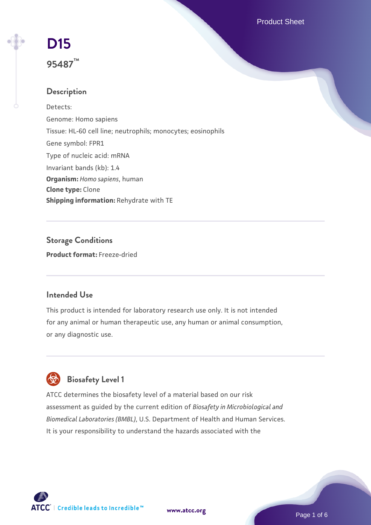Product Sheet

# **[D15](https://www.atcc.org/products/95487) 95487™**

# **Description**

Detects: Genome: Homo sapiens Tissue: HL-60 cell line; neutrophils; monocytes; eosinophils Gene symbol: FPR1 Type of nucleic acid: mRNA Invariant bands (kb): 1.4 **Organism:** *Homo sapiens*, human **Clone type:** Clone **Shipping information:** Rehydrate with TE

**Storage Conditions Product format:** Freeze-dried

### **Intended Use**

This product is intended for laboratory research use only. It is not intended for any animal or human therapeutic use, any human or animal consumption, or any diagnostic use.



ATCC determines the biosafety level of a material based on our risk assessment as guided by the current edition of *Biosafety in Microbiological and Biomedical Laboratories (BMBL)*, U.S. Department of Health and Human Services. It is your responsibility to understand the hazards associated with the



**[www.atcc.org](http://www.atcc.org)**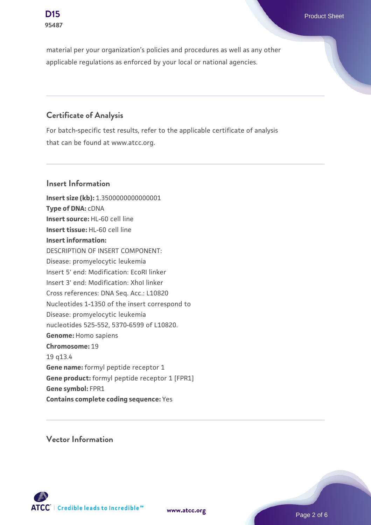material per your organization's policies and procedures as well as any other applicable regulations as enforced by your local or national agencies.

## **Certificate of Analysis**

For batch-specific test results, refer to the applicable certificate of analysis that can be found at www.atcc.org.

#### **Insert Information**

**Insert size (kb):** 1.3500000000000001 **Type of DNA:** cDNA **Insert source:** HL-60 cell line **Insert tissue:** HL-60 cell line **Insert information:** DESCRIPTION OF INSERT COMPONENT: Disease: promyelocytic leukemia Insert 5' end: Modification: EcoRI linker Insert 3' end: Modification: XhoI linker Cross references: DNA Seq. Acc.: L10820 Nucleotides 1-1350 of the insert correspond to Disease: promyelocytic leukemia nucleotides 525-552, 5370-6599 of L10820. **Genome:** Homo sapiens **Chromosome:** 19 19 q13.4 **Gene name:** formyl peptide receptor 1 **Gene product:** formyl peptide receptor 1 [FPR1] **Gene symbol:** FPR1 **Contains complete coding sequence:** Yes

**Vector Information**



**[www.atcc.org](http://www.atcc.org)**

Page 2 of 6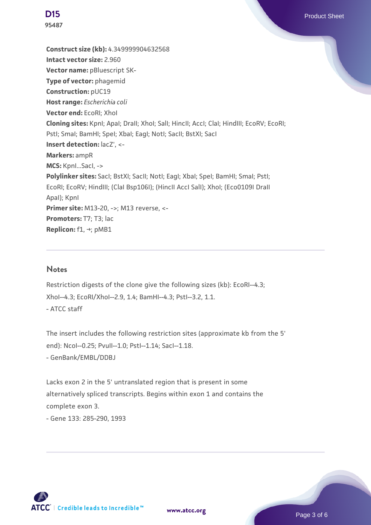**95487**

**Construct size (kb):** 4.349999904632568 **Intact vector size:** 2.960 **Vector name:** pBluescript SK-**Type of vector:** phagemid **Construction:** pUC19 **Host range:** *Escherichia coli* **Vector end:** EcoRI; XhoI **Cloning sites:** KpnI; ApaI; DraII; XhoI; SalI; HincII; AccI; ClaI; HindIII; EcoRV; EcoRI; Pstl; Smal; BamHI; Spel; Xbal; EagI; NotI; SacII; BstXI; SacI **Insert detection:** lacZ', <- **Markers:** ampR **MCS:** KpnI...SacI, -> Polylinker sites: SacI; BstXI; SacII; NotI; EagI; XbaI; SpeI; BamHI; SmaI; PstI; EcoRI; EcoRV; HindIII; (ClaI Bsp106I); (HincII AccI SalI); XhoI; (Eco0109I DraII ApaI); KpnI **Primer site: M13-20, ->; M13 reverse, <-**Promoters: T7; T3; lac **Replicon:** f1, →; pMB1

#### **Notes**

Restriction digests of the clone give the following sizes (kb): EcoRI--4.3; XhoI--4.3; EcoRI/XhoI--2.9, 1.4; BamHI--4.3; PstI--3.2, 1.1. - ATCC staff

The insert includes the following restriction sites (approximate kb from the 5' end): NcoI--0.25; PvuII--1.0; PstI--1.14; SacI--1.18. - GenBank/EMBL/DDBJ

Lacks exon 2 in the 5' untranslated region that is present in some alternatively spliced transcripts. Begins within exon 1 and contains the complete exon 3. - Gene 133: 285-290, 1993



**[www.atcc.org](http://www.atcc.org)**

Page 3 of 6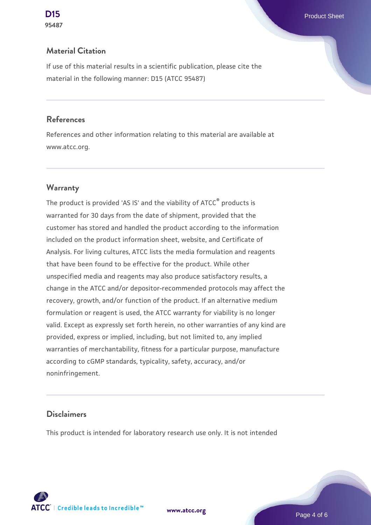#### **Material Citation**

If use of this material results in a scientific publication, please cite the material in the following manner: D15 (ATCC 95487)

#### **References**

References and other information relating to this material are available at www.atcc.org.

#### **Warranty**

The product is provided 'AS IS' and the viability of ATCC® products is warranted for 30 days from the date of shipment, provided that the customer has stored and handled the product according to the information included on the product information sheet, website, and Certificate of Analysis. For living cultures, ATCC lists the media formulation and reagents that have been found to be effective for the product. While other unspecified media and reagents may also produce satisfactory results, a change in the ATCC and/or depositor-recommended protocols may affect the recovery, growth, and/or function of the product. If an alternative medium formulation or reagent is used, the ATCC warranty for viability is no longer valid. Except as expressly set forth herein, no other warranties of any kind are provided, express or implied, including, but not limited to, any implied warranties of merchantability, fitness for a particular purpose, manufacture according to cGMP standards, typicality, safety, accuracy, and/or noninfringement.

#### **Disclaimers**

This product is intended for laboratory research use only. It is not intended





Page 4 of 6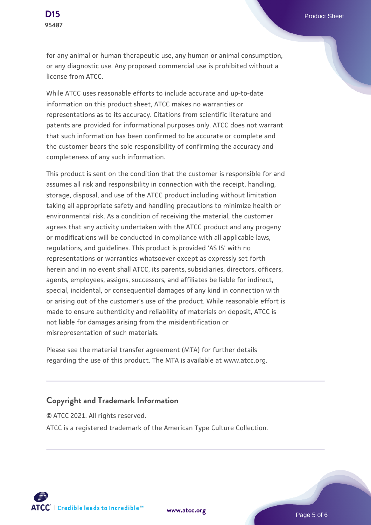for any animal or human therapeutic use, any human or animal consumption, or any diagnostic use. Any proposed commercial use is prohibited without a license from ATCC.

While ATCC uses reasonable efforts to include accurate and up-to-date information on this product sheet, ATCC makes no warranties or representations as to its accuracy. Citations from scientific literature and patents are provided for informational purposes only. ATCC does not warrant that such information has been confirmed to be accurate or complete and the customer bears the sole responsibility of confirming the accuracy and completeness of any such information.

This product is sent on the condition that the customer is responsible for and assumes all risk and responsibility in connection with the receipt, handling, storage, disposal, and use of the ATCC product including without limitation taking all appropriate safety and handling precautions to minimize health or environmental risk. As a condition of receiving the material, the customer agrees that any activity undertaken with the ATCC product and any progeny or modifications will be conducted in compliance with all applicable laws, regulations, and guidelines. This product is provided 'AS IS' with no representations or warranties whatsoever except as expressly set forth herein and in no event shall ATCC, its parents, subsidiaries, directors, officers, agents, employees, assigns, successors, and affiliates be liable for indirect, special, incidental, or consequential damages of any kind in connection with or arising out of the customer's use of the product. While reasonable effort is made to ensure authenticity and reliability of materials on deposit, ATCC is not liable for damages arising from the misidentification or misrepresentation of such materials.

Please see the material transfer agreement (MTA) for further details regarding the use of this product. The MTA is available at www.atcc.org.

#### **Copyright and Trademark Information**

© ATCC 2021. All rights reserved. ATCC is a registered trademark of the American Type Culture Collection.